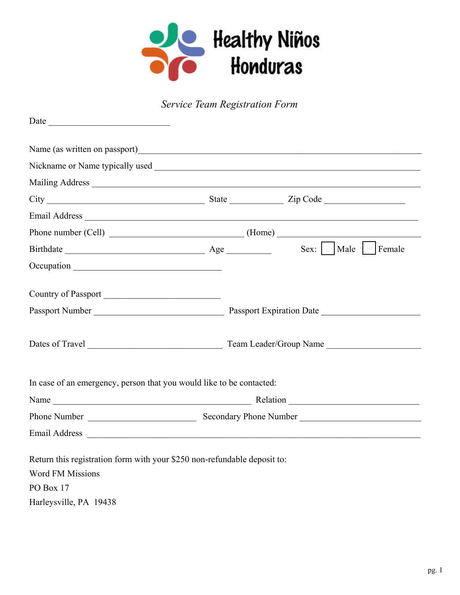

*Service Team Registration Form*

| Date                                                                     |                                                                                                                                                                                                                                |  |  |
|--------------------------------------------------------------------------|--------------------------------------------------------------------------------------------------------------------------------------------------------------------------------------------------------------------------------|--|--|
|                                                                          |                                                                                                                                                                                                                                |  |  |
|                                                                          |                                                                                                                                                                                                                                |  |  |
|                                                                          |                                                                                                                                                                                                                                |  |  |
|                                                                          |                                                                                                                                                                                                                                |  |  |
|                                                                          |                                                                                                                                                                                                                                |  |  |
|                                                                          |                                                                                                                                                                                                                                |  |  |
|                                                                          | Sex:   Male   Female                                                                                                                                                                                                           |  |  |
|                                                                          |                                                                                                                                                                                                                                |  |  |
| Country of Passport                                                      |                                                                                                                                                                                                                                |  |  |
|                                                                          | Passport Number Passport Expiration Date                                                                                                                                                                                       |  |  |
|                                                                          | Dates of Travel Team Leader/Group Name                                                                                                                                                                                         |  |  |
| In case of an emergency, person that you would like to be contacted:     |                                                                                                                                                                                                                                |  |  |
|                                                                          |                                                                                                                                                                                                                                |  |  |
|                                                                          |                                                                                                                                                                                                                                |  |  |
|                                                                          | Email Address and a series of the series of the series of the series of the series of the series of the series of the series of the series of the series of the series of the series of the series of the series of the series |  |  |
| Return this registration form with your \$250 non-refundable deposit to: |                                                                                                                                                                                                                                |  |  |
| <b>Word FM Missions</b>                                                  |                                                                                                                                                                                                                                |  |  |
| PO Box 17                                                                |                                                                                                                                                                                                                                |  |  |
| Harleysville, PA 19438                                                   |                                                                                                                                                                                                                                |  |  |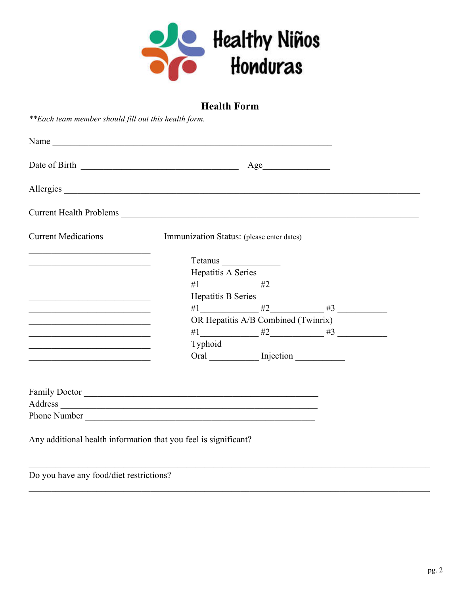

## **Health Form**

\*\*Each team member should fill out this health form.

|                                                                                           | Age |                                                                 |                                           |                     |  |
|-------------------------------------------------------------------------------------------|-----|-----------------------------------------------------------------|-------------------------------------------|---------------------|--|
|                                                                                           |     |                                                                 |                                           |                     |  |
|                                                                                           |     |                                                                 |                                           |                     |  |
| Current Health Problems New York Current Health Problems                                  |     |                                                                 |                                           |                     |  |
| <b>Current Medications</b>                                                                |     |                                                                 | Immunization Status: (please enter dates) |                     |  |
| the control of the control of the control of the control of the control of the control of |     | Tetanus                                                         |                                           |                     |  |
| the control of the control of the control of the control of the control of the control of |     | Hepatitis A Series                                              |                                           |                     |  |
|                                                                                           |     |                                                                 | $#1$ $#2$ $#2$ $*$                        |                     |  |
|                                                                                           |     | Hepatitis B Series                                              |                                           |                     |  |
| the control of the control of the control of the control of the control of the control of |     |                                                                 |                                           | $#1$ $#2$ $#3$ $*3$ |  |
| the control of the control of the control of the control of the control of the control of |     |                                                                 | OR Hepatitis A/B Combined (Twinrix)       |                     |  |
|                                                                                           |     |                                                                 |                                           | $#1$ $#2$ $#3$ $*3$ |  |
|                                                                                           |     | Typhoid                                                         |                                           |                     |  |
|                                                                                           |     |                                                                 | Oral Injection                            |                     |  |
|                                                                                           |     |                                                                 |                                           |                     |  |
|                                                                                           |     |                                                                 |                                           |                     |  |
| Family Doctor                                                                             |     |                                                                 |                                           |                     |  |
|                                                                                           |     |                                                                 |                                           |                     |  |
|                                                                                           |     |                                                                 |                                           |                     |  |
|                                                                                           |     | Any additional health information that you feel is significant? |                                           |                     |  |

Do you have any food/diet restrictions?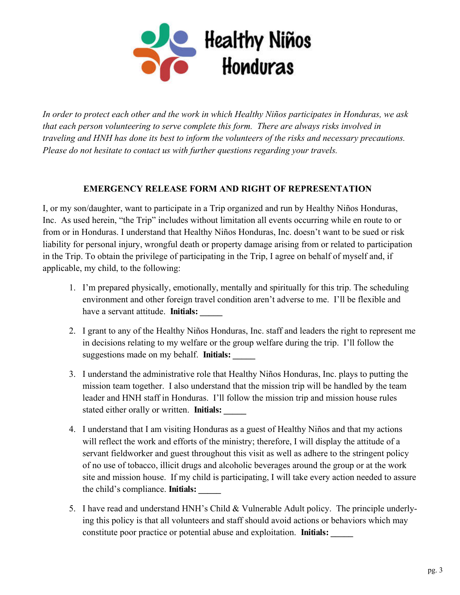

*In order to protect each other and the work in which Healthy Niños participates in Honduras, we ask that each person volunteering to serve complete this form. There are always risks involved in traveling and HNH has done its best to inform the volunteers of the risks and necessary precautions. Please do not hesitate to contact us with further questions regarding your travels.* 

## **EMERGENCY RELEASE FORM AND RIGHT OF REPRESENTATION**

I, or my son/daughter, want to participate in a Trip organized and run by Healthy Niños Honduras, Inc. As used herein, "the Trip" includes without limitation all events occurring while en route to or from or in Honduras. I understand that Healthy Niños Honduras, Inc. doesn't want to be sued or risk liability for personal injury, wrongful death or property damage arising from or related to participation in the Trip. To obtain the privilege of participating in the Trip, I agree on behalf of myself and, if applicable, my child, to the following:

- 1. I'm prepared physically, emotionally, mentally and spiritually for this trip. The scheduling environment and other foreign travel condition aren't adverse to me. I'll be flexible and have a servant attitude. **Initials: \_\_\_\_\_**
- 2. I grant to any of the Healthy Niños Honduras, Inc. staff and leaders the right to represent me in decisions relating to my welfare or the group welfare during the trip. I'll follow the suggestions made on my behalf. **Initials: \_\_\_\_\_**
- 3. I understand the administrative role that Healthy Niños Honduras, Inc. plays to putting the mission team together. I also understand that the mission trip will be handled by the team leader and HNH staff in Honduras. I'll follow the mission trip and mission house rules stated either orally or written. **Initials: \_\_\_\_\_**
- 4. I understand that I am visiting Honduras as a guest of Healthy Niños and that my actions will reflect the work and efforts of the ministry; therefore, I will display the attitude of a servant fieldworker and guest throughout this visit as well as adhere to the stringent policy of no use of tobacco, illicit drugs and alcoholic beverages around the group or at the work site and mission house. If my child is participating, I will take every action needed to assure the child's compliance. **Initials: \_\_\_\_\_**
- 5. I have read and understand HNH's Child & Vulnerable Adult policy. The principle underlying this policy is that all volunteers and staff should avoid actions or behaviors which may constitute poor practice or potential abuse and exploitation. **Initials: \_\_\_\_\_**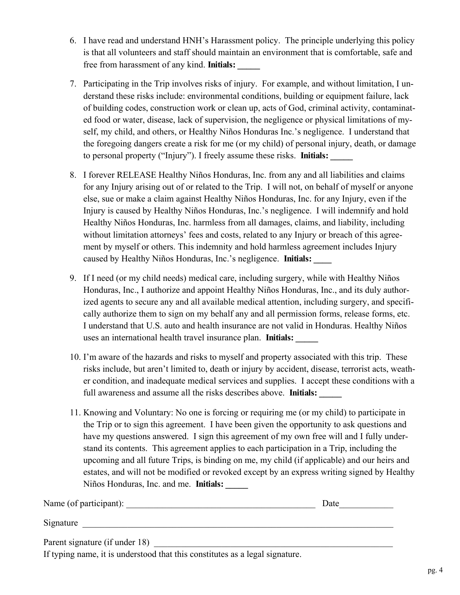- 6. I have read and understand HNH's Harassment policy. The principle underlying this policy is that all volunteers and staff should maintain an environment that is comfortable, safe and free from harassment of any kind. **Initials: \_\_\_\_\_**
- 7. Participating in the Trip involves risks of injury. For example, and without limitation, I understand these risks include: environmental conditions, building or equipment failure, lack of building codes, construction work or clean up, acts of God, criminal activity, contaminated food or water, disease, lack of supervision, the negligence or physical limitations of myself, my child, and others, or Healthy Niños Honduras Inc.'s negligence. I understand that the foregoing dangers create a risk for me (or my child) of personal injury, death, or damage to personal property ("Injury"). I freely assume these risks. **Initials: \_\_\_\_\_**
- 8. I forever RELEASE Healthy Niños Honduras, Inc. from any and all liabilities and claims for any Injury arising out of or related to the Trip. I will not, on behalf of myself or anyone else, sue or make a claim against Healthy Niños Honduras, Inc. for any Injury, even if the Injury is caused by Healthy Niños Honduras, Inc.'s negligence. I will indemnify and hold Healthy Niños Honduras, Inc. harmless from all damages, claims, and liability, including without limitation attorneys' fees and costs, related to any Injury or breach of this agreement by myself or others. This indemnity and hold harmless agreement includes Injury caused by Healthy Niños Honduras, Inc.'s negligence. **Initials: \_\_\_\_**
- 9. If I need (or my child needs) medical care, including surgery, while with Healthy Niños Honduras, Inc., I authorize and appoint Healthy Niños Honduras, Inc., and its duly authorized agents to secure any and all available medical attention, including surgery, and specifically authorize them to sign on my behalf any and all permission forms, release forms, etc. I understand that U.S. auto and health insurance are not valid in Honduras. Healthy Niños uses an international health travel insurance plan. **Initials: \_\_\_\_\_**
- 10. I'm aware of the hazards and risks to myself and property associated with this trip. These risks include, but aren't limited to, death or injury by accident, disease, terrorist acts, weather condition, and inadequate medical services and supplies. I accept these conditions with a full awareness and assume all the risks describes above. **Initials: \_\_\_\_\_**
- 11. Knowing and Voluntary: No one is forcing or requiring me (or my child) to participate in the Trip or to sign this agreement. I have been given the opportunity to ask questions and have my questions answered. I sign this agreement of my own free will and I fully understand its contents. This agreement applies to each participation in a Trip, including the upcoming and all future Trips, is binding on me, my child (if applicable) and our heirs and estates, and will not be modified or revoked except by an express writing signed by Healthy Niños Honduras, Inc. and me. **Initials: \_\_\_\_\_**

| Name (of participant):                                                       | Date |
|------------------------------------------------------------------------------|------|
| Signature                                                                    |      |
| Parent signature (if under 18)                                               |      |
| If typing name, it is understood that this constitutes as a legal signature. |      |